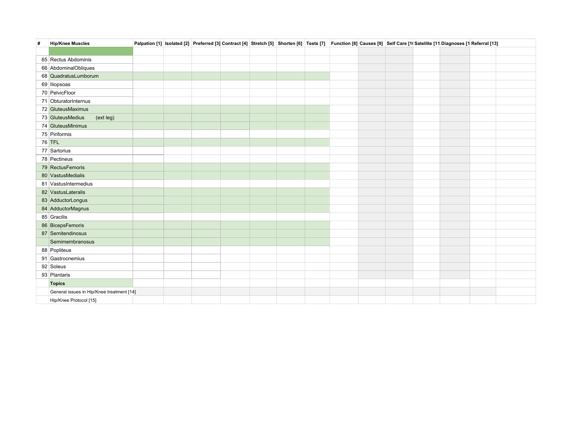| # | <b>Hip/Knee Muscles</b>                   | Palpation [1] Isolated [2] Preferred [3] Contract [4] Stretch [5] Shorten [6] Tests [7] Function [8] Causes [9] Self Care [1( Satellite [11 Diagnoses [1 Referral [13] |  |  |  |  |  |  |  |
|---|-------------------------------------------|------------------------------------------------------------------------------------------------------------------------------------------------------------------------|--|--|--|--|--|--|--|
|   |                                           |                                                                                                                                                                        |  |  |  |  |  |  |  |
|   | 65 Rectus Abdominis                       |                                                                                                                                                                        |  |  |  |  |  |  |  |
|   | 66 AbdominalObliques                      |                                                                                                                                                                        |  |  |  |  |  |  |  |
|   | 68 QuadratusLumborum                      |                                                                                                                                                                        |  |  |  |  |  |  |  |
|   | 69 Iliopsoas                              |                                                                                                                                                                        |  |  |  |  |  |  |  |
|   | 70 PelvicFloor                            |                                                                                                                                                                        |  |  |  |  |  |  |  |
|   | 71 ObturatorInternus                      |                                                                                                                                                                        |  |  |  |  |  |  |  |
|   | 72 GluteusMaximus                         |                                                                                                                                                                        |  |  |  |  |  |  |  |
|   | 73 GluteusMedius<br>(ext leg)             |                                                                                                                                                                        |  |  |  |  |  |  |  |
|   | 74 GluteusMinimus                         |                                                                                                                                                                        |  |  |  |  |  |  |  |
|   | 75 Piriformis                             |                                                                                                                                                                        |  |  |  |  |  |  |  |
|   | <b>76 TFL</b>                             |                                                                                                                                                                        |  |  |  |  |  |  |  |
|   | 77 Sartorius                              |                                                                                                                                                                        |  |  |  |  |  |  |  |
|   | 78 Pectineus                              |                                                                                                                                                                        |  |  |  |  |  |  |  |
|   | 79 RectusFemoris                          |                                                                                                                                                                        |  |  |  |  |  |  |  |
|   | 80 VastusMedialis                         |                                                                                                                                                                        |  |  |  |  |  |  |  |
|   | 81 VastusIntermedius                      |                                                                                                                                                                        |  |  |  |  |  |  |  |
|   | 82 VastusLateralis                        |                                                                                                                                                                        |  |  |  |  |  |  |  |
|   | 83 AdductorLongus                         |                                                                                                                                                                        |  |  |  |  |  |  |  |
|   | 84 AdductorMagnus                         |                                                                                                                                                                        |  |  |  |  |  |  |  |
|   | 85 Gracilis                               |                                                                                                                                                                        |  |  |  |  |  |  |  |
|   | 86 BicepsFemoris                          |                                                                                                                                                                        |  |  |  |  |  |  |  |
|   | 87 Semitendinosus                         |                                                                                                                                                                        |  |  |  |  |  |  |  |
|   | Semimembranosus                           |                                                                                                                                                                        |  |  |  |  |  |  |  |
|   | 88 Popliteus                              |                                                                                                                                                                        |  |  |  |  |  |  |  |
|   | 91 Gastrocnemius                          |                                                                                                                                                                        |  |  |  |  |  |  |  |
|   | 92 Soleus                                 |                                                                                                                                                                        |  |  |  |  |  |  |  |
|   | 93 Plantaris                              |                                                                                                                                                                        |  |  |  |  |  |  |  |
|   | <b>Topics</b>                             |                                                                                                                                                                        |  |  |  |  |  |  |  |
|   | General issues in Hip/Knee treatment [14] |                                                                                                                                                                        |  |  |  |  |  |  |  |
|   | Hip/Knee Protocol [15]                    |                                                                                                                                                                        |  |  |  |  |  |  |  |